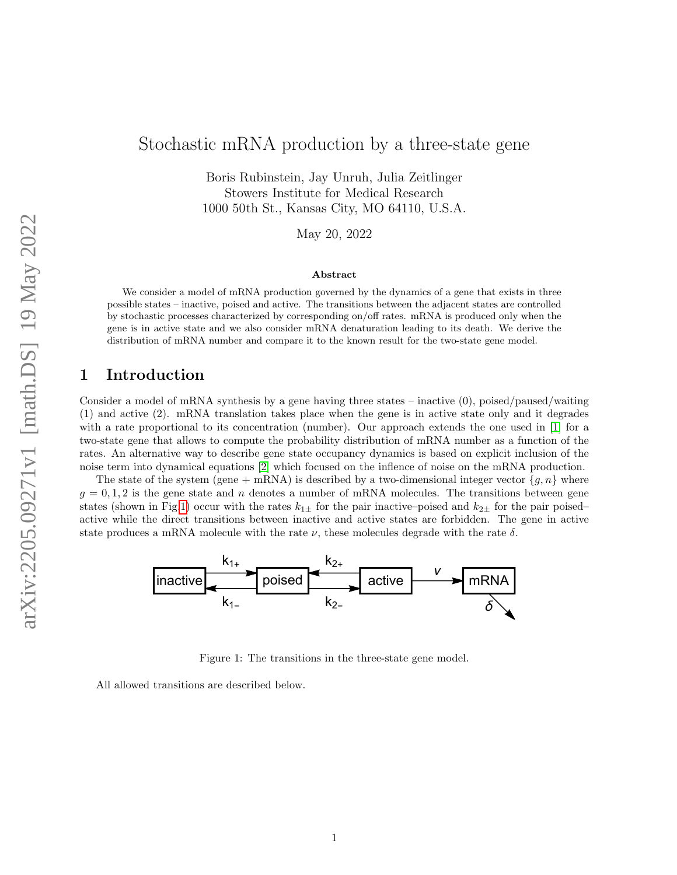# Stochastic mRNA production by a three-state gene

Boris Rubinstein, Jay Unruh, Julia Zeitlinger Stowers Institute for Medical Research 1000 50th St., Kansas City, MO 64110, U.S.A.

May 20, 2022

#### Abstract

We consider a model of mRNA production governed by the dynamics of a gene that exists in three possible states – inactive, poised and active. The transitions between the adjacent states are controlled by stochastic processes characterized by corresponding on/off rates. mRNA is produced only when the gene is in active state and we also consider mRNA denaturation leading to its death. We derive the distribution of mRNA number and compare it to the known result for the two-state gene model.

## 1 Introduction

Consider a model of mRNA synthesis by a gene having three states – inactive (0), poised/paused/waiting (1) and active (2). mRNA translation takes place when the gene is in active state only and it degrades with a rate proportional to its concentration (number). Our approach extends the one used in [\[1\]](#page-6-0) for a two-state gene that allows to compute the probability distribution of mRNA number as a function of the rates. An alternative way to describe gene state occupancy dynamics is based on explicit inclusion of the noise term into dynamical equations [\[2\]](#page-6-1) which focused on the inflence of noise on the mRNA production.

The state of the system (gene + mRNA) is described by a two-dimensional integer vector  $\{g, n\}$  where  $g = 0, 1, 2$  is the gene state and n denotes a number of mRNA molecules. The transitions between gene states (shown in Fig[.1\)](#page-0-0) occur with the rates  $k_{1+}$  for the pair inactive–poised and  $k_{2+}$  for the pair poised– active while the direct transitions between inactive and active states are forbidden. The gene in active state produces a mRNA molecule with the rate  $\nu$ , these molecules degrade with the rate  $\delta$ .



<span id="page-0-0"></span>Figure 1: The transitions in the three-state gene model.

All allowed transitions are described below.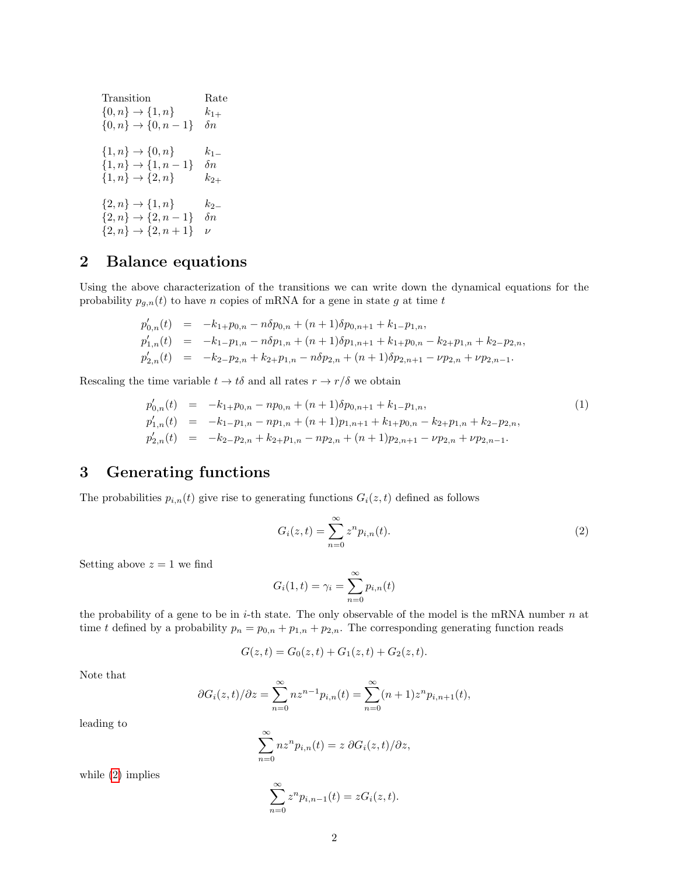$$
\begin{array}{ll} \text{transition} & \text{Rate} \\ \{0,n\} \rightarrow \{1,n\} & k_{1+} \\ \{0,n\} \rightarrow \{0,n-1\} & \delta n \\ \\ \{1,n\} \rightarrow \{0,n\} & k_{1-} \\ \{1,n\} \rightarrow \{1,n-1\} & \delta n \\ \{1,n\} \rightarrow \{2,n\} & k_{2+} \\ \{2,n\} \rightarrow \{1,n\} & k_{2-} \\ \{2,n\} \rightarrow \{2,n-1\} & \delta n \\ \{2,n\} \rightarrow \{2,n+1\} & \nu \end{array}
$$

## 2 Balance equations

Using the above characterization of the transitions we can write down the dynamical equations for the probability  $p_{g,n}(t)$  to have n copies of mRNA for a gene in state g at time t

<span id="page-1-1"></span>
$$
p'_{0,n}(t) = -k_{1+}p_{0,n} - n\delta p_{0,n} + (n+1)\delta p_{0,n+1} + k_{1-}p_{1,n},
$$
  
\n
$$
p'_{1,n}(t) = -k_{1-}p_{1,n} - n\delta p_{1,n} + (n+1)\delta p_{1,n+1} + k_{1+}p_{0,n} - k_{2+}p_{1,n} + k_{2-}p_{2,n},
$$
  
\n
$$
p'_{2,n}(t) = -k_{2-}p_{2,n} + k_{2+}p_{1,n} - n\delta p_{2,n} + (n+1)\delta p_{2,n+1} - \nu p_{2,n} + \nu p_{2,n-1}.
$$

Rescaling the time variable  $t \to t\delta$  and all rates  $r \to r/\delta$  we obtain

$$
p'_{0,n}(t) = -k_{1+}p_{0,n} - np_{0,n} + (n+1)\delta p_{0,n+1} + k_{1-}p_{1,n},
$$
  
\n
$$
p'_{1,n}(t) = -k_{1-}p_{1,n} - np_{1,n} + (n+1)p_{1,n+1} + k_{1+}p_{0,n} - k_{2+}p_{1,n} + k_{2-}p_{2,n},
$$
  
\n
$$
p'_{2,n}(t) = -k_{2-}p_{2,n} + k_{2+}p_{1,n} - np_{2,n} + (n+1)p_{2,n+1} - \nu p_{2,n} + \nu p_{2,n-1}.
$$
\n(1)

## 3 Generating functions

The probabilities  $p_{i,n}(t)$  give rise to generating functions  $G_i(z,t)$  defined as follows

<span id="page-1-0"></span>
$$
G_i(z,t) = \sum_{n=0}^{\infty} z^n p_{i,n}(t).
$$
 (2)

Setting above  $z = 1$  we find

$$
G_i(1,t) = \gamma_i = \sum_{n=0}^{\infty} p_{i,n}(t)
$$

the probability of a gene to be in *i*-th state. The only observable of the model is the mRNA number  $n$  at time t defined by a probability  $p_n = p_{0,n} + p_{1,n} + p_{2,n}$ . The corresponding generating function reads

$$
G(z,t) = G_0(z,t) + G_1(z,t) + G_2(z,t).
$$

Note that

$$
\partial G_i(z,t)/\partial z = \sum_{n=0}^{\infty} nz^{n-1} p_{i,n}(t) = \sum_{n=0}^{\infty} (n+1)z^n p_{i,n+1}(t),
$$

leading to

$$
\sum_{n=0}^{\infty} nz^n p_{i,n}(t) = z \, \partial G_i(z,t)/\partial z,
$$

while [\(2\)](#page-1-0) implies

$$
\sum_{n=0}^{\infty} z^n p_{i,n-1}(t) = zG_i(z,t).
$$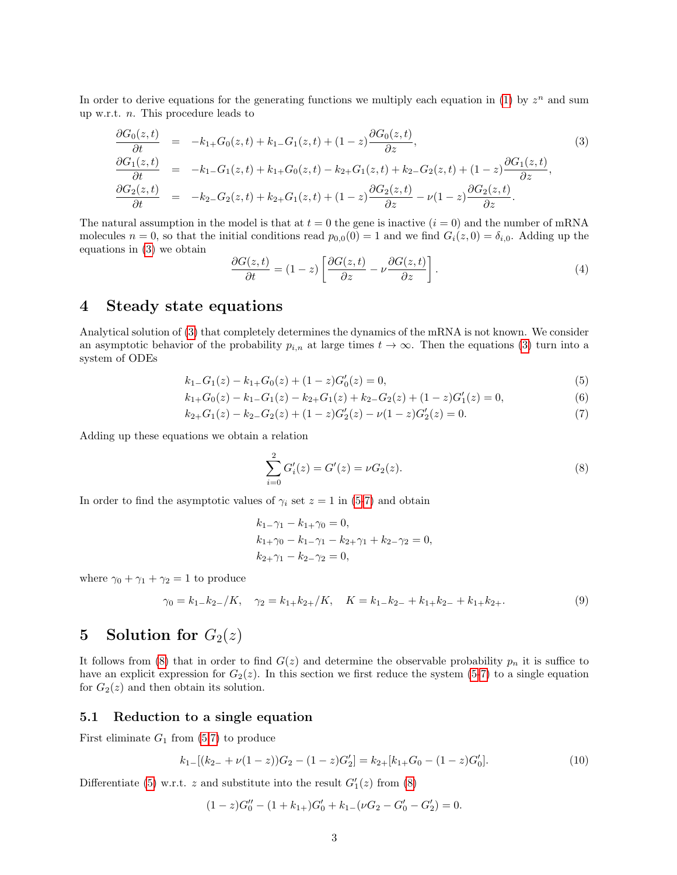In order to derive equations for the generating functions we multiply each equation in [\(1\)](#page-1-1) by  $z<sup>n</sup>$  and sum up w.r.t. n. This procedure leads to

<span id="page-2-0"></span>
$$
\frac{\partial G_0(z,t)}{\partial t} = -k_{1+}G_0(z,t) + k_{1-}G_1(z,t) + (1-z)\frac{\partial G_0(z,t)}{\partial z},
$$
\n
$$
\frac{\partial G_1(z,t)}{\partial t} = -k_{1-}G_1(z,t) + k_{1+}G_0(z,t) - k_{2+}G_1(z,t) + k_{2-}G_2(z,t) + (1-z)\frac{\partial G_1(z,t)}{\partial z},
$$
\n
$$
\frac{\partial G_2(z,t)}{\partial t} = -k_{2-}G_2(z,t) + k_{2+}G_1(z,t) + (1-z)\frac{\partial G_2(z,t)}{\partial z} - \nu(1-z)\frac{\partial G_2(z,t)}{\partial z}.
$$
\n(3)

The natural assumption in the model is that at  $t = 0$  the gene is inactive  $(i = 0)$  and the number of mRNA molecules  $n = 0$ , so that the initial conditions read  $p_{0,0}(0) = 1$  and we find  $G_i(z, 0) = \delta_{i,0}$ . Adding up the equations in [\(3\)](#page-2-0) we obtain

$$
\frac{\partial G(z,t)}{\partial t} = (1-z) \left[ \frac{\partial G(z,t)}{\partial z} - \nu \frac{\partial G(z,t)}{\partial z} \right].
$$
\n(4)

## 4 Steady state equations

Analytical solution of [\(3\)](#page-2-0) that completely determines the dynamics of the mRNA is not known. We consider an asymptotic behavior of the probability  $p_{i,n}$  at large times  $t \to \infty$ . Then the equations [\(3\)](#page-2-0) turn into a system of ODEs

<span id="page-2-1"></span>
$$
k_{1-}G_1(z) - k_{1+}G_0(z) + (1-z)G'_0(z) = 0,
$$
\n<sup>(5)</sup>

$$
k_{1+}G_0(z) - k_{1-}G_1(z) - k_{2+}G_1(z) + k_{2-}G_2(z) + (1-z)G_1'(z) = 0,
$$
\n(6)

$$
k_{2+}G_1(z) - k_{2-}G_2(z) + (1-z)G'_2(z) - \nu(1-z)G'_2(z) = 0.
$$
\n(7)

Adding up these equations we obtain a relation

<span id="page-2-2"></span>
$$
\sum_{i=0}^{2} G'_{i}(z) = G'(z) = \nu G_{2}(z).
$$
\n(8)

In order to find the asymptotic values of  $\gamma_i$  set  $z = 1$  in [\(5-7\)](#page-2-1) and obtain

<span id="page-2-4"></span>
$$
k_{1-}\gamma_1 - k_{1+}\gamma_0 = 0,
$$
  
\n
$$
k_{1+}\gamma_0 - k_{1-}\gamma_1 - k_{2+}\gamma_1 + k_{2-}\gamma_2 = 0,
$$
  
\n
$$
k_{2+}\gamma_1 - k_{2-}\gamma_2 = 0,
$$

where  $\gamma_0 + \gamma_1 + \gamma_2 = 1$  to produce

$$
\gamma_0 = k_1 - k_2 - /K, \quad \gamma_2 = k_1 + k_2 + /K, \quad K = k_1 - k_2 - k_1 + k_2 - k_1 + k_2 + \dots \tag{9}
$$

# 5 Solution for  $G_2(z)$

It follows from [\(8\)](#page-2-2) that in order to find  $G(z)$  and determine the observable probability  $p_n$  it is suffice to have an explicit expression for  $G_2(z)$ . In this section we first reduce the system [\(5-7\)](#page-2-1) to a single equation for  $G_2(z)$  and then obtain its solution.

#### 5.1 Reduction to a single equation

First eliminate  $G_1$  from  $(5,7)$  to produce

<span id="page-2-3"></span>
$$
k_{1-}[(k_{2-}+\nu(1-z))G_2-(1-z)G_2'] = k_{2+}[k_{1+}G_0-(1-z)G_0'].
$$
\n
$$
(10)
$$

Differentiate [\(5\)](#page-2-1) w.r.t. z and substitute into the result  $G'_{1}(z)$  from [\(8\)](#page-2-2)

$$
(1-z)G''_0 - (1+k_{1+})G'_0 + k_{1-}(\nu G_2 - G'_0 - G'_2) = 0.
$$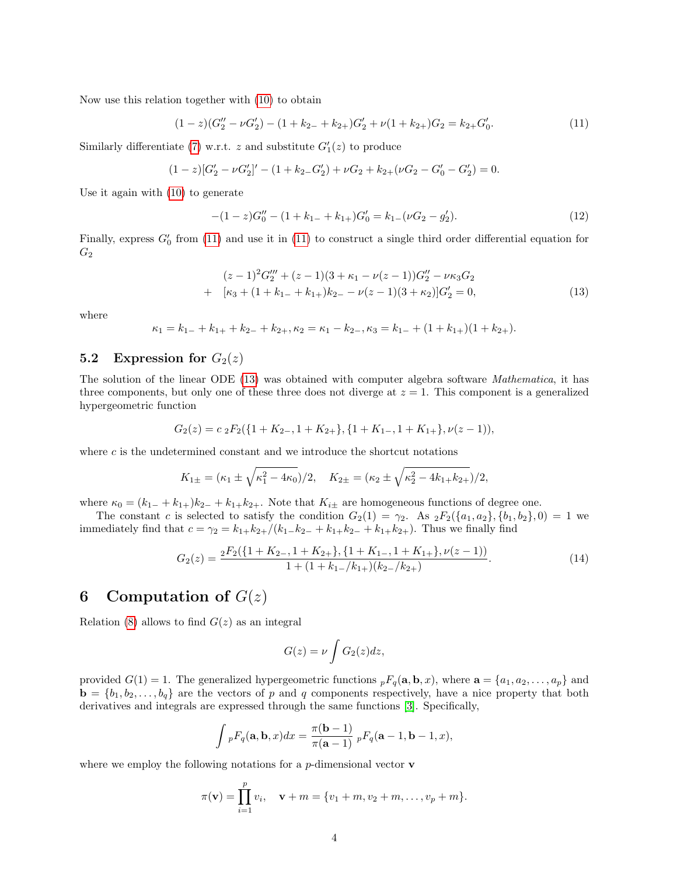Now use this relation together with [\(10\)](#page-2-3) to obtain

<span id="page-3-0"></span>
$$
(1-z)(G_2'' - \nu G_2') - (1 + k_{2-} + k_{2+})G_2' + \nu(1 + k_{2+})G_2 = k_{2+}G_0'.
$$
\n
$$
(11)
$$

Similarly differentiate [\(7\)](#page-2-1) w.r.t. z and substitute  $G'_{1}(z)$  to produce

$$
(1-z)[G'_{2} - \nu G'_{2}]' - (1 + k_{2-}G'_{2}) + \nu G_{2} + k_{2+}(\nu G_{2} - G'_{0} - G'_{2}) = 0.
$$

Use it again with [\(10\)](#page-2-3) to generate

$$
-(1-z)G''_0 - (1+k_{1-}+k_{1+})G'_0 = k_{1-}(\nu G_2 - g'_2). \tag{12}
$$

Finally, express  $G'_{0}$  from [\(11\)](#page-3-0) and use it in (11) to construct a single third order differential equation for  $G_2$ 

<span id="page-3-1"></span>
$$
(z-1)^2 G_2''' + (z-1)(3 + \kappa_1 - \nu(z-1))G_2'' - \nu\kappa_3 G_2
$$
  
+ 
$$
[\kappa_3 + (1 + k_{1-} + k_{1+})k_{2-} - \nu(z-1)(3 + \kappa_2)]G_2' = 0,
$$
 (13)

where

$$
\kappa_1 = k_{1-} + k_{1+} + k_{2-} + k_{2+}, \kappa_2 = \kappa_1 - k_{2-}, \kappa_3 = k_{1-} + (1 + k_{1+})(1 + k_{2+}).
$$

### 5.2 Expression for  $G_2(z)$

The solution of the linear ODE [\(13\)](#page-3-1) was obtained with computer algebra software Mathematica, it has three components, but only one of these three does not diverge at  $z = 1$ . This component is a generalized hypergeometric function

$$
G_2(z) = c_2 F_2({1 + K_{2-}, 1 + K_{2+}}, {1 + K_{1-}, 1 + K_{1+}}, \nu(z-1)),
$$

where  $c$  is the undetermined constant and we introduce the shortcut notations

$$
K_{1\pm} = (\kappa_1 \pm \sqrt{\kappa_1^2 - 4\kappa_0})/2, \quad K_{2\pm} = (\kappa_2 \pm \sqrt{\kappa_2^2 - 4k_{1+}k_{2+}})/2,
$$

where  $\kappa_0 = (k_{1-} + k_{1+})k_{2-} + k_{1+}k_{2+}$ . Note that  $K_{i\pm}$  are homogeneous functions of degree one.

The constant c is selected to satisfy the condition  $G_2(1) = \gamma_2$ . As  ${}_2F_2(\{a_1, a_2\}, \{b_1, b_2\}, 0) = 1$  we immediately find that  $c = \gamma_2 = k_{1+}k_{2+}/(k_{1-}k_{2-} + k_{1+}k_{2-} + k_{1+}k_{2+})$ . Thus we finally find

$$
G_2(z) = \frac{{}_2F_2(\{1+K_{2-}, 1+K_{2+}\}, \{1+K_{1-}, 1+K_{1+}\}, \nu(z-1))}{1 + (1+k_{1-}/k_{1+})(k_{2-}/k_{2+})}.
$$
\n
$$
(14)
$$

## 6 Computation of  $G(z)$

Relation [\(8\)](#page-2-2) allows to find  $G(z)$  as an integral

$$
G(z) = \nu \int G_2(z) dz,
$$

provided  $G(1) = 1$ . The generalized hypergeometric functions  ${}_{p}F_{q}(\mathbf{a}, \mathbf{b}, x)$ , where  $\mathbf{a} = \{a_1, a_2, \ldots, a_p\}$  and  $\mathbf{b} = \{b_1, b_2, \ldots, b_q\}$  are the vectors of p and q components respectively, have a nice property that both derivatives and integrals are expressed through the same functions [\[3\]](#page-6-2). Specifically,

$$
\int pF_q(\mathbf{a}, \mathbf{b}, x)dx = \frac{\pi(\mathbf{b}-1)}{\pi(\mathbf{a}-1)} pF_q(\mathbf{a}-1, \mathbf{b}-1, x),
$$

where we employ the following notations for a  $p$ -dimensional vector **v** 

$$
\pi(\mathbf{v}) = \prod_{i=1}^p v_i, \quad \mathbf{v} + m = \{v_1 + m, v_2 + m, \dots, v_p + m\}.
$$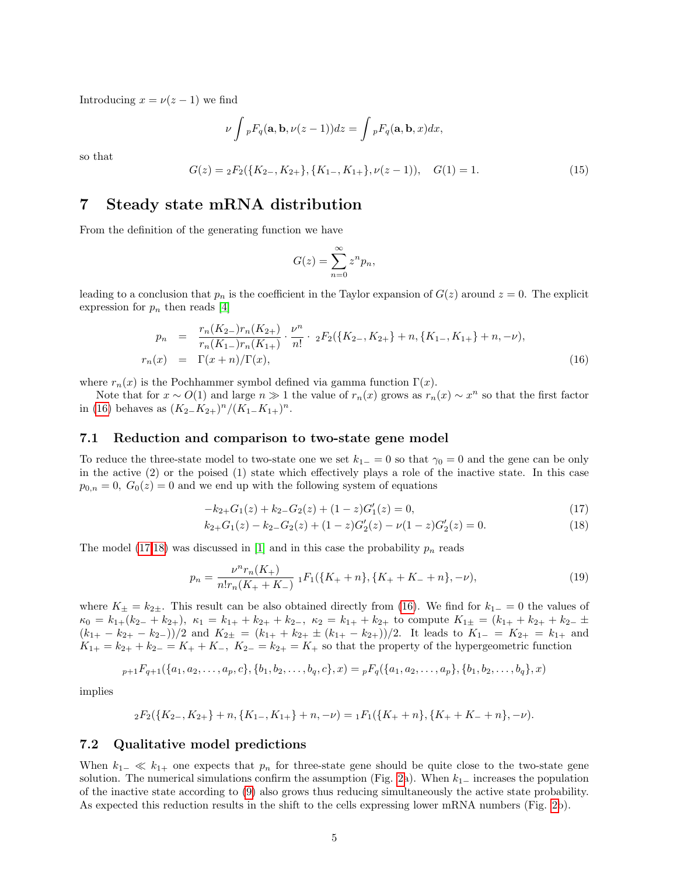Introducing  $x = \nu(z - 1)$  we find

$$
\nu \int {}_pF_q(\mathbf{a},\mathbf{b},\nu(z-1))dz = \int {}_pF_q(\mathbf{a},\mathbf{b},x)dx,
$$

so that

$$
G(z) = {}_{2}F_{2}(\lbrace K_{2-}, K_{2+}\rbrace, \lbrace K_{1-}, K_{1+}\rbrace, \nu(z-1)), \quad G(1) = 1.
$$
 (15)

### 7 Steady state mRNA distribution

From the definition of the generating function we have

$$
G(z) = \sum_{n=0}^{\infty} z^n p_n,
$$

leading to a conclusion that  $p_n$  is the coefficient in the Taylor expansion of  $G(z)$  around  $z = 0$ . The explicit expression for  $p_n$  then reads [\[4\]](#page-6-3)

<span id="page-4-0"></span>
$$
p_n = \frac{r_n(K_{2-})r_n(K_{2+})}{r_n(K_{1-})r_n(K_{1+})} \cdot \frac{\nu^n}{n!} \cdot {}_2F_2(\lbrace K_{2-}, K_{2+} \rbrace + n, \lbrace K_{1-}, K_{1+} \rbrace + n, -\nu),
$$
  

$$
r_n(x) = \Gamma(x+n)/\Gamma(x),
$$
 (16)

where  $r_n(x)$  is the Pochhammer symbol defined via gamma function  $\Gamma(x)$ .

Note that for  $x \sim O(1)$  and large  $n \gg 1$  the value of  $r_n(x)$  grows as  $r_n(x) \sim x^n$  so that the first factor in [\(16\)](#page-4-0) behaves as  $(K_{2-}K_{2+})^n/(K_{1-}K_{1+})^n$ .

#### 7.1 Reduction and comparison to two-state gene model

To reduce the three-state model to two-state one we set  $k_{1-} = 0$  so that  $\gamma_0 = 0$  and the gene can be only in the active (2) or the poised (1) state which effectively plays a role of the inactive state. In this case  $p_{0,n} = 0$ ,  $G_0(z) = 0$  and we end up with the following system of equations

<span id="page-4-1"></span>
$$
-k_{2+}G_1(z) + k_{2-}G_2(z) + (1-z)G_1'(z) = 0,
$$
\n(17)

$$
k_{2+}G_1(z) - k_{2-}G_2(z) + (1-z)G_2'(z) - \nu(1-z)G_2'(z) = 0.
$$
\n(18)

The model  $(17,18)$  was discussed in [\[1\]](#page-6-0) and in this case the probability  $p_n$  reads

<span id="page-4-2"></span>
$$
p_n = \frac{\nu^n r_n(K_+)}{n! r_n(K_+ + K_-)} \, {}_1F_1(\{K_+ + n\}, \{K_+ + K_- + n\}, -\nu),\tag{19}
$$

where  $K_{\pm} = k_{2\pm}$ . This result can be also obtained directly from [\(16\)](#page-4-0). We find for  $k_{1-} = 0$  the values of  $\kappa_0 = k_{1+}(k_{2-} + k_{2+}), \ \kappa_1 = k_{1+} + k_{2+} + k_{2-}, \ \kappa_2 = k_{1+} + k_{2+}$  to compute  $K_{1\pm} = (k_{1+} + k_{2+} + k_{2-} \pm k_{2+})$  $(k_{1+} - k_{2+} - k_{2-})/2$  and  $K_{2\pm} = (k_{1+} + k_{2+} \pm (k_{1+} - k_{2+}))/2$ . It leads to  $K_{1-} = K_{2+} = k_{1+}$  and  $K_{1+} = k_{2+} + k_{2-} = K_+ + K_-, K_{2-} = k_{2+} = K_+$  so that the property of the hypergeometric function

$$
{}_{p+1}F_{q+1}(\{a_1,a_2,\ldots,a_p,c\},\{b_1,b_2,\ldots,b_q,c\},x) = {}_{p}F_q(\{a_1,a_2,\ldots,a_p\},\{b_1,b_2,\ldots,b_q\},x)
$$

implies

$$
{}_2F_2({K_2, K_{2+}}) + n, {K_{1-}, K_{1+}} + n, -\nu) = {}_1F_1({K_+ + n}, {K_+ + K_- + n}, -\nu).
$$

#### 7.2 Qualitative model predictions

When  $k_{1-} \ll k_{1+}$  one expects that  $p_n$  for three-state gene should be quite close to the two-state gene solution. The numerical simulations confirm the assumption (Fig. [2a](#page-5-0)). When  $k_{1-}$  increases the population of the inactive state according to [\(9\)](#page-2-4) also grows thus reducing simultaneously the active state probability. As expected this reduction results in the shift to the cells expressing lower mRNA numbers (Fig. [2b](#page-5-0)).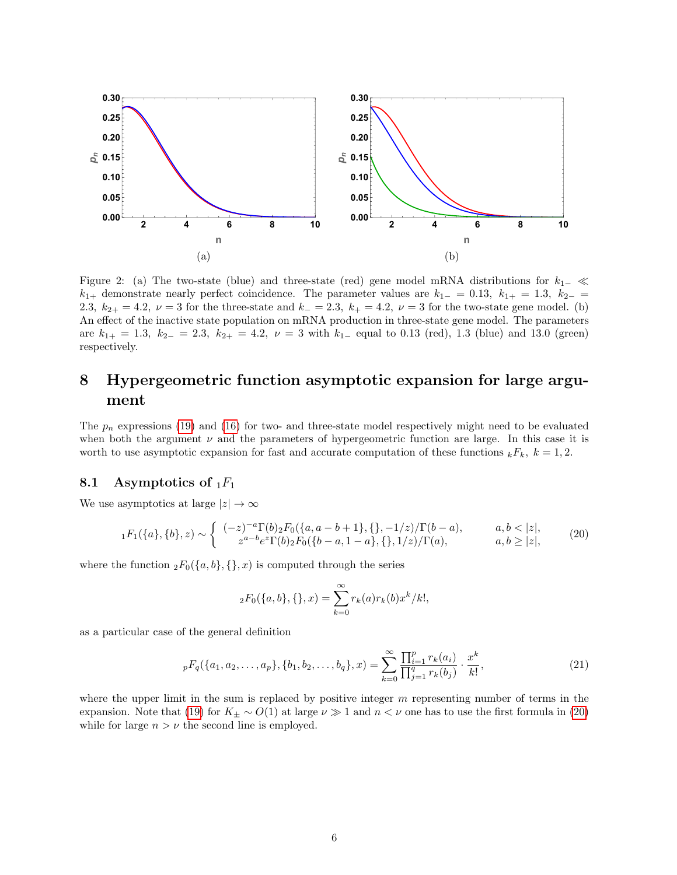

<span id="page-5-0"></span>Figure 2: (a) The two-state (blue) and three-state (red) gene model mRNA distributions for  $k_{1-} \ll$  $k_{1+}$  demonstrate nearly perfect coincidence. The parameter values are  $k_{1-} = 0.13$ ,  $k_{1+} = 1.3$ ,  $k_{2-} =$ 2.3,  $k_{2+} = 4.2$ ,  $\nu = 3$  for the three-state and  $k_{-} = 2.3$ ,  $k_{+} = 4.2$ ,  $\nu = 3$  for the two-state gene model. (b) An effect of the inactive state population on mRNA production in three-state gene model. The parameters are  $k_{1+} = 1.3$ ,  $k_{2-} = 2.3$ ,  $k_{2+} = 4.2$ ,  $\nu = 3$  with  $k_{1-}$  equal to 0.13 (red), 1.3 (blue) and 13.0 (green) respectively.

# 8 Hypergeometric function asymptotic expansion for large argument

The  $p_n$  expressions [\(19\)](#page-4-2) and [\(16\)](#page-4-0) for two- and three-state model respectively might need to be evaluated when both the argument  $\nu$  and the parameters of hypergeometric function are large. In this case it is worth to use asymptotic expansion for fast and accurate computation of these functions  ${}_kF_k$ ,  $k = 1, 2$ .

## 8.1 Asymptotics of  $_1F_1$

We use asymptotics at large  $|z| \to \infty$ 

<span id="page-5-1"></span>
$$
{}_1F_1(\{a\},\{b\},z) \sim \begin{cases} (-z)^{-a}\Gamma(b)_2F_0(\{a,a-b+1\},\{\},-1/z)/\Gamma(b-a), & a,b < |z|, \\ z^{a-b}e^z\Gamma(b)_2F_0(\{b-a,1-a\},\{\},1/z)/\Gamma(a), & a,b \ge |z|, \end{cases} \tag{20}
$$

where the function  ${}_2F_0({a,b},\{\},x)$  is computed through the series

$$
{}_2F_0({a,b}, {},{ }, 1) = \sum_{k=0}^{\infty} r_k(a)r_k(b)x^k/k!,
$$

as a particular case of the general definition

$$
{}_{p}F_{q}(\{a_1, a_2, \ldots, a_p\}, \{b_1, b_2, \ldots, b_q\}, x) = \sum_{k=0}^{\infty} \frac{\prod_{i=1}^{p} r_k(a_i)}{\prod_{j=1}^{q} r_k(b_j)} \cdot \frac{x^k}{k!},
$$
\n(21)

where the upper limit in the sum is replaced by positive integer  $m$  representing number of terms in the expansion. Note that [\(19\)](#page-4-2) for  $K_{\pm} \sim O(1)$  at large  $\nu \gg 1$  and  $n < \nu$  one has to use the first formula in [\(20\)](#page-5-1) while for large  $n > \nu$  the second line is employed.